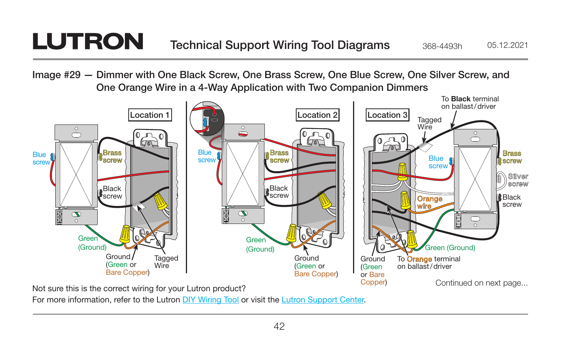## **LUTRON**

Image #29 — Dimmer with One Black Screw, One Brass Screw, One Blue Screw, One Silver Screw, and One Orange Wire in a 4-Way Application with Two Companion Dimmers



For more information, refer to the Lutron [DIY Wiring Tool](http://www.lutron.com/wiringtool) or visit the [Lutron Support Center.](http://www.lutron.com/en-US/pages/SupportCenter/support.aspx)